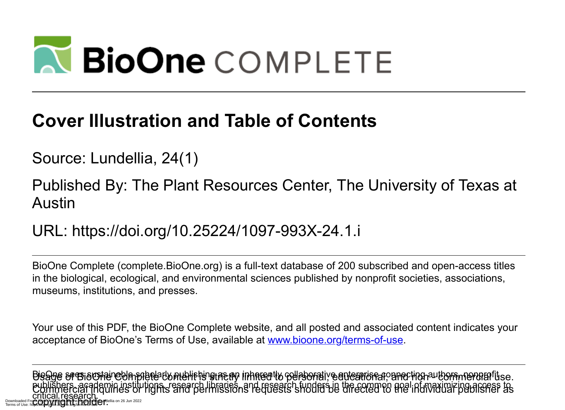# **N BioOne** COMPLETE

#### **Cover Illustration and Table of Contents**

Source: Lundellia, 24(1)

Published By: The Plant Resources Center, The University of Texas at Austin

URL: https://doi.org/10.25224/1097-993X-24.1.i

BioOne Complete (complete.BioOne.org) is a full-text database of 200 subscribed and open-access titles in the biological, ecological, and environmental sciences published by nonprofit societies, associations, museums, institutions, and presses.

Your use of this PDF, the BioOne Complete website, and all posted and associated content indicates your acceptance of BioOne's Terms of Use, available at www.bioone.org/terms-of-use.

Bisage sres sustaineble spered to nterliging ras ay inherently collaborative enterprise a opper ing authors, nonprofituse. publishers, academic institutions, research libraries, and research funders in the common goal of maximizing access to Circical. ICSCAICIL.<br>m. mary ympachade byggleicher. critical research.<br>Critical research.<br>Downloaded From: mysylvamical hadre by journalsour dellia on 26 Jun 2022 Terms of Use: https://complete.bioone.org/terms-of-use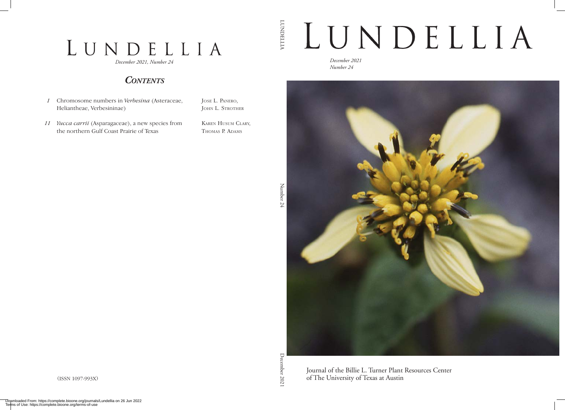### LUNDELLIA

*December 2021, Number 24*

#### *Contents*

*1* Chromosome numbers in *Verbesina* (Asteraceae, Heliantheae, Verbesininae)

Jose L. Panero, JOHN L. STROTHER

*11 Yucca carrii* (Asparagaceae), a new species from the northern Gulf Coast Prairie of Texas

Karen Husum Clary, THOMAS P. ADAMS

LUNDELLIA

**LUNDELLIA** 



*December 2021 Number 24*



(ISSN 1097-993X)